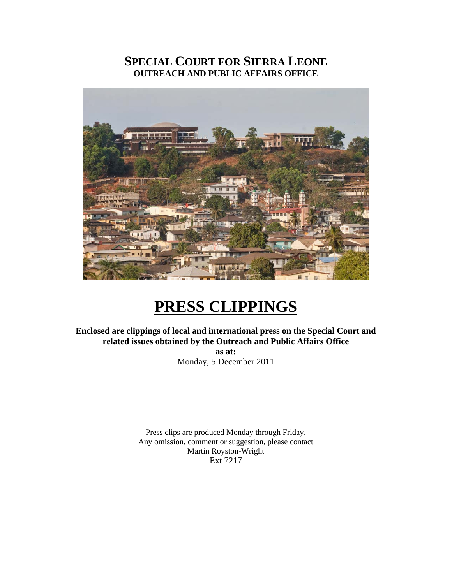# **SPECIAL COURT FOR SIERRA LEONE OUTREACH AND PUBLIC AFFAIRS OFFICE**



# **PRESS CLIPPINGS**

**Enclosed are clippings of local and international press on the Special Court and related issues obtained by the Outreach and Public Affairs Office** 

> **as at:**  Monday, 5 December 2011

Press clips are produced Monday through Friday. Any omission, comment or suggestion, please contact Martin Royston-Wright Ext 7217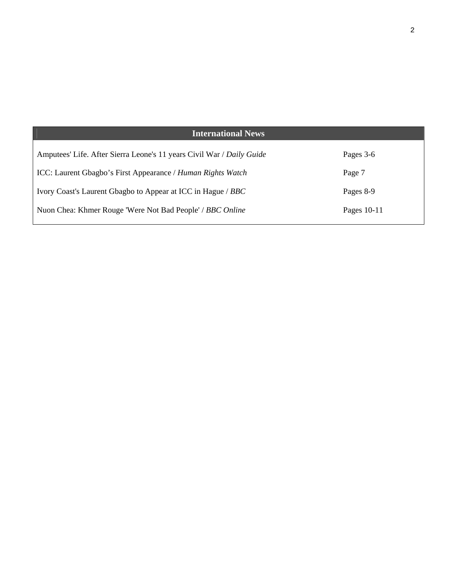| <b>International News</b>                                             |             |
|-----------------------------------------------------------------------|-------------|
| Amputees' Life. After Sierra Leone's 11 years Civil War / Daily Guide | Pages 3-6   |
| ICC: Laurent Gbagbo's First Appearance / Human Rights Watch           | Page 7      |
| Ivory Coast's Laurent Gbagbo to Appear at ICC in Hague / BBC          | Pages 8-9   |
| Nuon Chea: Khmer Rouge 'Were Not Bad People' / BBC Online             | Pages 10-11 |

2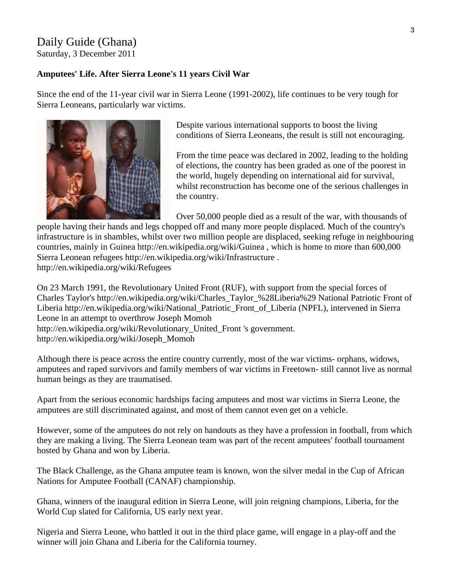# Daily Guide (Ghana)

Saturday, 3 December 2011

### **Amputees' Life. After Sierra Leone's 11 years Civil War**

Since the end of the 11-year civil war in Sierra Leone (1991-2002), life continues to be very tough for Sierra Leoneans, particularly war victims.



Despite various international supports to boost the living conditions of Sierra Leoneans, the result is still not encouraging.

From the time peace was declared in 2002, leading to the holding of elections, the country has been graded as one of the poorest in the world, hugely depending on international aid for survival, whilst reconstruction has become one of the serious challenges in the country.

Over 50,000 people died as a result of the war, with thousands of

people having their hands and legs chopped off and many more people displaced. Much of the country's infrastructure is in shambles, whilst over two million people are displaced, seeking refuge in neighbouring countries, mainly in Guinea http://en.wikipedia.org/wiki/Guinea , which is home to more than 600,000 Sierra Leonean refugees http://en.wikipedia.org/wiki/Infrastructure . http://en.wikipedia.org/wiki/Refugees

On 23 March 1991, the Revolutionary United Front (RUF), with support from the special forces of Charles Taylor's http://en.wikipedia.org/wiki/Charles\_Taylor\_%28Liberia%29 National Patriotic Front of Liberia http://en.wikipedia.org/wiki/National\_Patriotic\_Front\_of\_Liberia (NPFL), intervened in Sierra Leone in an attempt to overthrow Joseph Momoh

http://en.wikipedia.org/wiki/Revolutionary\_United\_Front 's government.

http://en.wikipedia.org/wiki/Joseph\_Momoh

Although there is peace across the entire country currently, most of the war victims- orphans, widows, amputees and raped survivors and family members of war victims in Freetown- still cannot live as normal human beings as they are traumatised.

Apart from the serious economic hardships facing amputees and most war victims in Sierra Leone, the amputees are still discriminated against, and most of them cannot even get on a vehicle.

However, some of the amputees do not rely on handouts as they have a profession in football, from which they are making a living. The Sierra Leonean team was part of the recent amputees' football tournament hosted by Ghana and won by Liberia.

The Black Challenge, as the Ghana amputee team is known, won the silver medal in the Cup of African Nations for Amputee Football (CANAF) championship.

Ghana, winners of the inaugural edition in Sierra Leone, will join reigning champions, Liberia, for the World Cup slated for California, US early next year.

Nigeria and Sierra Leone, who battled it out in the third place game, will engage in a play-off and the winner will join Ghana and Liberia for the California tourney.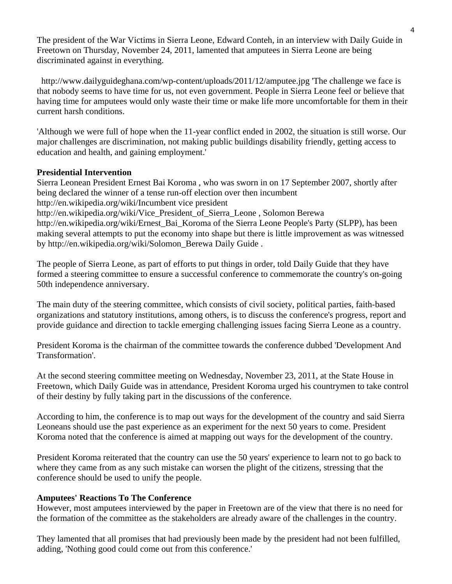The president of the War Victims in Sierra Leone, Edward Conteh, in an interview with Daily Guide in Freetown on Thursday, November 24, 2011, lamented that amputees in Sierra Leone are being discriminated against in everything.

 http://www.dailyguideghana.com/wp-content/uploads/2011/12/amputee.jpg 'The challenge we face is that nobody seems to have time for us, not even government. People in Sierra Leone feel or believe that having time for amputees would only waste their time or make life more uncomfortable for them in their current harsh conditions.

'Although we were full of hope when the 11-year conflict ended in 2002, the situation is still worse. Our major challenges are discrimination, not making public buildings disability friendly, getting access to education and health, and gaining employment.'

## **Presidential Intervention**

Sierra Leonean President Ernest Bai Koroma , who was sworn in on 17 September 2007, shortly after being declared the winner of a tense run-off election over then incumbent http://en.wikipedia.org/wiki/Incumbent vice president http://en.wikipedia.org/wiki/Vice\_President\_of\_Sierra\_Leone , Solomon Berewa http://en.wikipedia.org/wiki/Ernest\_Bai\_Koroma of the Sierra Leone People's Party (SLPP), has been making several attempts to put the economy into shape but there is little improvement as was witnessed by http://en.wikipedia.org/wiki/Solomon\_Berewa Daily Guide .

The people of Sierra Leone, as part of efforts to put things in order, told Daily Guide that they have formed a steering committee to ensure a successful conference to commemorate the country's on-going 50th independence anniversary.

The main duty of the steering committee, which consists of civil society, political parties, faith-based organizations and statutory institutions, among others, is to discuss the conference's progress, report and provide guidance and direction to tackle emerging challenging issues facing Sierra Leone as a country.

President Koroma is the chairman of the committee towards the conference dubbed 'Development And Transformation'.

At the second steering committee meeting on Wednesday, November 23, 2011, at the State House in Freetown, which Daily Guide was in attendance, President Koroma urged his countrymen to take control of their destiny by fully taking part in the discussions of the conference.

According to him, the conference is to map out ways for the development of the country and said Sierra Leoneans should use the past experience as an experiment for the next 50 years to come. President Koroma noted that the conference is aimed at mapping out ways for the development of the country.

President Koroma reiterated that the country can use the 50 years' experience to learn not to go back to where they came from as any such mistake can worsen the plight of the citizens, stressing that the conference should be used to unify the people.

#### **Amputees' Reactions To The Conference**

However, most amputees interviewed by the paper in Freetown are of the view that there is no need for the formation of the committee as the stakeholders are already aware of the challenges in the country.

They lamented that all promises that had previously been made by the president had not been fulfilled, adding, 'Nothing good could come out from this conference.'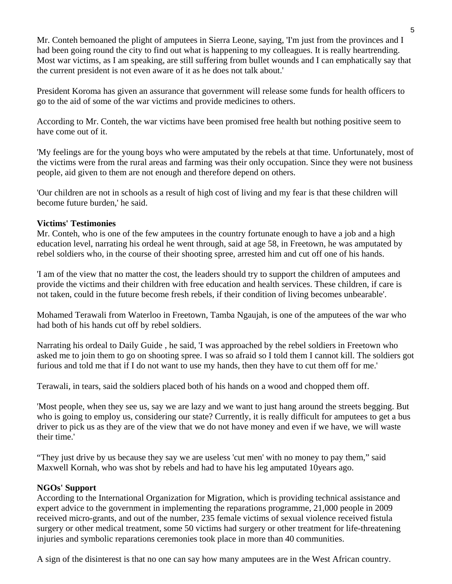Mr. Conteh bemoaned the plight of amputees in Sierra Leone, saying, 'I'm just from the provinces and I had been going round the city to find out what is happening to my colleagues. It is really heartrending. Most war victims, as I am speaking, are still suffering from bullet wounds and I can emphatically say that the current president is not even aware of it as he does not talk about.'

President Koroma has given an assurance that government will release some funds for health officers to go to the aid of some of the war victims and provide medicines to others.

According to Mr. Conteh, the war victims have been promised free health but nothing positive seem to have come out of it.

'My feelings are for the young boys who were amputated by the rebels at that time. Unfortunately, most of the victims were from the rural areas and farming was their only occupation. Since they were not business people, aid given to them are not enough and therefore depend on others.

'Our children are not in schools as a result of high cost of living and my fear is that these children will become future burden,' he said.

#### **Victims' Testimonies**

Mr. Conteh, who is one of the few amputees in the country fortunate enough to have a job and a high education level, narrating his ordeal he went through, said at age 58, in Freetown, he was amputated by rebel soldiers who, in the course of their shooting spree, arrested him and cut off one of his hands.

'I am of the view that no matter the cost, the leaders should try to support the children of amputees and provide the victims and their children with free education and health services. These children, if care is not taken, could in the future become fresh rebels, if their condition of living becomes unbearable'.

Mohamed Terawali from Waterloo in Freetown, Tamba Ngaujah, is one of the amputees of the war who had both of his hands cut off by rebel soldiers.

Narrating his ordeal to Daily Guide , he said, 'I was approached by the rebel soldiers in Freetown who asked me to join them to go on shooting spree. I was so afraid so I told them I cannot kill. The soldiers got furious and told me that if I do not want to use my hands, then they have to cut them off for me.'

Terawali, in tears, said the soldiers placed both of his hands on a wood and chopped them off.

'Most people, when they see us, say we are lazy and we want to just hang around the streets begging. But who is going to employ us, considering our state? Currently, it is really difficult for amputees to get a bus driver to pick us as they are of the view that we do not have money and even if we have, we will waste their time.'

"They just drive by us because they say we are useless 'cut men' with no money to pay them," said Maxwell Kornah, who was shot by rebels and had to have his leg amputated 10years ago.

#### **NGOs' Support**

According to the International Organization for Migration, which is providing technical assistance and expert advice to the government in implementing the reparations programme, 21,000 people in 2009 received micro-grants, and out of the number, 235 female victims of sexual violence received fistula surgery or other medical treatment, some 50 victims had surgery or other treatment for life-threatening injuries and symbolic reparations ceremonies took place in more than 40 communities.

A sign of the disinterest is that no one can say how many amputees are in the West African country.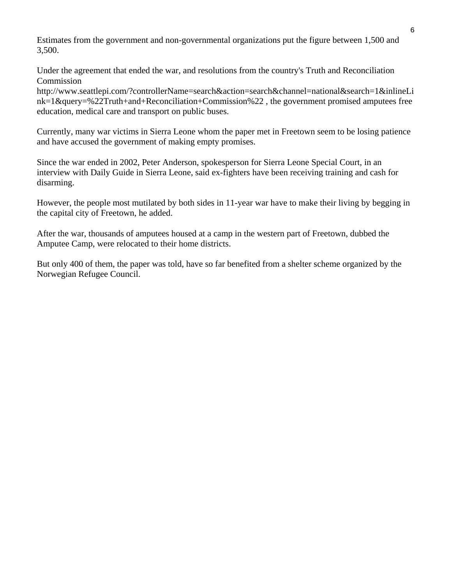Estimates from the government and non-governmental organizations put the figure between 1,500 and 3,500.

Under the agreement that ended the war, and resolutions from the country's Truth and Reconciliation Commission

http://www.seattlepi.com/?controllerName=search&action=search&channel=national&search=1&inlineLi nk=1&query=%22Truth+and+Reconciliation+Commission%22 , the government promised amputees free education, medical care and transport on public buses.

Currently, many war victims in Sierra Leone whom the paper met in Freetown seem to be losing patience and have accused the government of making empty promises.

Since the war ended in 2002, Peter Anderson, spokesperson for Sierra Leone Special Court, in an interview with Daily Guide in Sierra Leone, said ex-fighters have been receiving training and cash for disarming.

However, the people most mutilated by both sides in 11-year war have to make their living by begging in the capital city of Freetown, he added.

After the war, thousands of amputees housed at a camp in the western part of Freetown, dubbed the Amputee Camp, were relocated to their home districts.

But only 400 of them, the paper was told, have so far benefited from a shelter scheme organized by the Norwegian Refugee Council.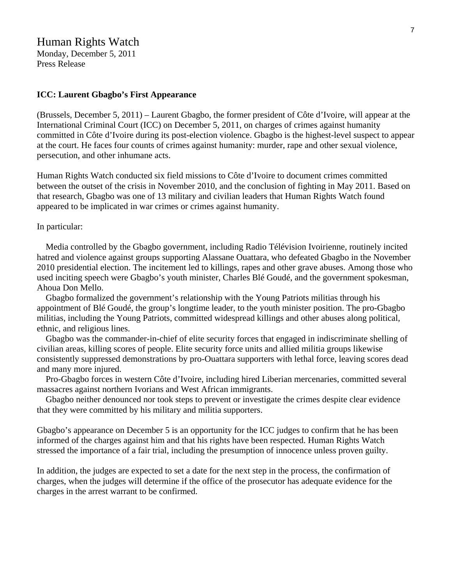# Human Rights Watch

Monday, December 5, 2011 Press Release

#### **ICC: Laurent Gbagbo's First Appearance**

(Brussels, December 5, 2011) – Laurent Gbagbo, the former president of Côte d'Ivoire, will appear at the International Criminal Court (ICC) on December 5, 2011, on charges of crimes against humanity committed in Côte d'Ivoire during its post-election violence. Gbagbo is the highest-level suspect to appear at the court. He faces four counts of crimes against humanity: murder, rape and other sexual violence, persecution, and other inhumane acts.

Human Rights Watch conducted six field missions to Côte d'Ivoire to document crimes committed between the outset of the crisis in November 2010, and the conclusion of fighting in May 2011. Based on that research, Gbagbo was one of 13 military and civilian leaders that Human Rights Watch found appeared to be implicated in war crimes or crimes against humanity.

#### In particular:

 Media controlled by the Gbagbo government, including Radio Télévision Ivoirienne, routinely incited hatred and violence against groups supporting Alassane Ouattara, who defeated Gbagbo in the November 2010 presidential election. The incitement led to killings, rapes and other grave abuses. Among those who used inciting speech were Gbagbo's youth minister, Charles Blé Goudé, and the government spokesman, Ahoua Don Mello.

 Gbagbo formalized the government's relationship with the Young Patriots militias through his appointment of Blé Goudé, the group's longtime leader, to the youth minister position. The pro-Gbagbo militias, including the Young Patriots, committed widespread killings and other abuses along political, ethnic, and religious lines.

 Gbagbo was the commander-in-chief of elite security forces that engaged in indiscriminate shelling of civilian areas, killing scores of people. Elite security force units and allied militia groups likewise consistently suppressed demonstrations by pro-Ouattara supporters with lethal force, leaving scores dead and many more injured.

 Pro-Gbagbo forces in western Côte d'Ivoire, including hired Liberian mercenaries, committed several massacres against northern Ivorians and West African immigrants.

 Gbagbo neither denounced nor took steps to prevent or investigate the crimes despite clear evidence that they were committed by his military and militia supporters.

Gbagbo's appearance on December 5 is an opportunity for the ICC judges to confirm that he has been informed of the charges against him and that his rights have been respected. Human Rights Watch stressed the importance of a fair trial, including the presumption of innocence unless proven guilty.

In addition, the judges are expected to set a date for the next step in the process, the confirmation of charges, when the judges will determine if the office of the prosecutor has adequate evidence for the charges in the arrest warrant to be confirmed.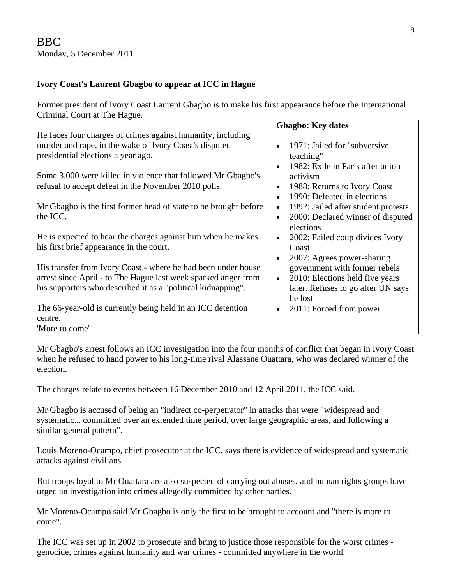# **Ivory Coast's Laurent Gbagbo to appear at ICC in Hague**

Former president of Ivory Coast Laurent Gbagbo is to make his first appearance before the International Criminal Court at The Hague.

He faces four charges of crimes against humanity, including murder and rape, in the wake of Ivory Coast's disputed presidential elections a year ago.

Some 3,000 were killed in violence that followed Mr Gbagbo's refusal to accept defeat in the November 2010 polls.

Mr Gbagbo is the first former head of state to be brought before the ICC.

He is expected to hear the charges against him when he makes his first brief appearance in the court.

His transfer from Ivory Coast - where he had been under house arrest since April - to The Hague last week sparked anger from his supporters who described it as a "political kidnapping".

The 66-year-old is currently being held in an ICC detention centre. 'More to come'

# **Gbagbo: Key dates**

- 1971: Jailed for "subversive" teaching"
- 1982: Exile in Paris after union activism
- 1988: Returns to Ivory Coast
- 1990: Defeated in elections
- 1992: Jailed after student protests
- 2000: Declared winner of disputed elections
- 2002: Failed coup divides Ivory Coast
- 2007: Agrees power-sharing government with former rebels
- 2010: Elections held five years later. Refuses to go after UN says he lost
- 2011: Forced from power

Mr Gbagbo's arrest follows an ICC investigation into the four months of conflict that began in Ivory Coast when he refused to hand power to his long-time rival Alassane Ouattara, who was declared winner of the election.

The charges relate to events between 16 December 2010 and 12 April 2011, the ICC said.

Mr Gbagbo is accused of being an "indirect co-perpetrator" in attacks that were "widespread and systematic... committed over an extended time period, over large geographic areas, and following a similar general pattern".

Louis Moreno-Ocampo, chief prosecutor at the ICC, says there is evidence of widespread and systematic attacks against civilians.

But troops loyal to Mr Ouattara are also suspected of carrying out abuses, and human rights groups have urged an investigation into crimes allegedly committed by other parties.

Mr Moreno-Ocampo said Mr Gbagbo is only the first to be brought to account and "there is more to come".

The ICC was set up in 2002 to prosecute and bring to justice those responsible for the worst crimes genocide, crimes against humanity and war crimes - committed anywhere in the world.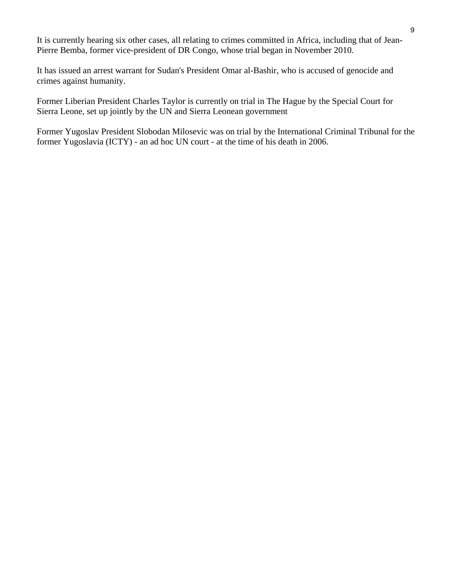It is currently hearing six other cases, all relating to crimes committed in Africa, including that of Jean-Pierre Bemba, former vice-president of DR Congo, whose trial began in November 2010.

It has issued an arrest warrant for Sudan's President Omar al-Bashir, who is accused of genocide and crimes against humanity.

Former Liberian President Charles Taylor is currently on trial in The Hague by the Special Court for Sierra Leone, set up jointly by the UN and Sierra Leonean government

Former Yugoslav President Slobodan Milosevic was on trial by the International Criminal Tribunal for the former Yugoslavia (ICTY) - an ad hoc UN court - at the time of his death in 2006.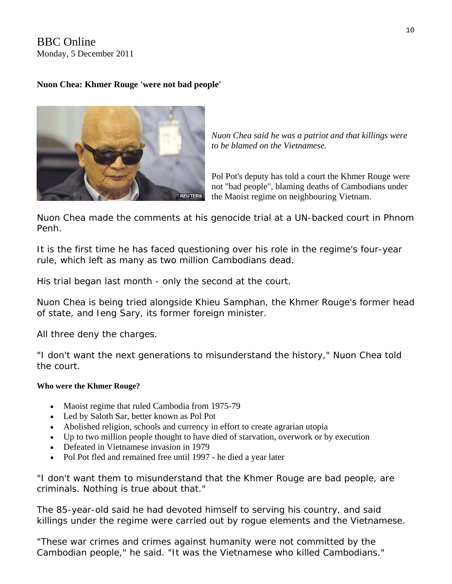BBC Online Monday, 5 December 2011

# **Nuon Chea: Khmer Rouge 'were not bad people'**



*Nuon Chea said he was a patriot and that killings were to be blamed on the Vietnamese.* 

Pol Pot's deputy has told a court the Khmer Rouge were not "bad people", blaming deaths of Cambodians under the Maoist regime on neighbouring Vietnam.

Nuon Chea made the comments at his genocide trial at a UN-backed court in Phnom Penh.

It is the first time he has faced questioning over his role in the regime's four-year rule, which left as many as two million Cambodians dead.

His trial began last month - only the second at the court.

Nuon Chea is being tried alongside Khieu Samphan, the Khmer Rouge's former head of state, and Ieng Sary, its former foreign minister.

All three deny the charges.

"I don't want the next generations to misunderstand the history," Nuon Chea told the court.

## **Who were the Khmer Rouge?**

- Maoist regime that ruled Cambodia from 1975-79
- Led by Saloth Sar, better known as Pol Pot
- Abolished religion, schools and currency in effort to create agrarian utopia
- Up to two million people thought to have died of starvation, overwork or by execution
- Defeated in Vietnamese invasion in 1979
- Pol Pot fled and remained free until 1997 he died a year later

"I don't want them to misunderstand that the Khmer Rouge are bad people, are criminals. Nothing is true about that."

The 85-year-old said he had devoted himself to serving his country, and said killings under the regime were carried out by rogue elements and the Vietnamese.

"These war crimes and crimes against humanity were not committed by the Cambodian people," he said. "It was the Vietnamese who killed Cambodians."